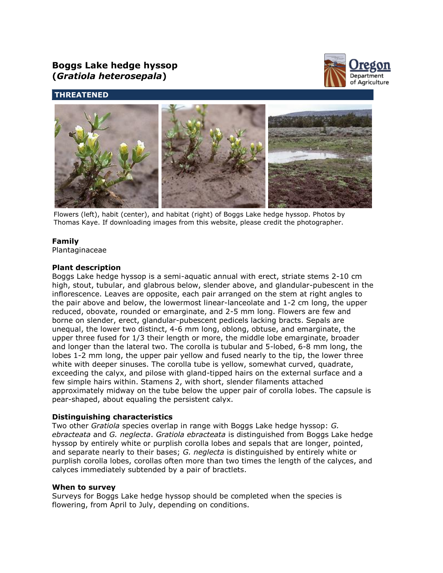# **Boggs Lake hedge hyssop (***Gratiola heterosepala***)**



# **THREATENED**



Flowers (left), habit (center), and habitat (right) of Boggs Lake hedge hyssop. Photos by Thomas Kaye. If downloading images from this website, please credit the photographer.

# **Family**

Plantaginaceae

## **Plant description**

Boggs Lake hedge hyssop is a semi-aquatic annual with erect, striate stems 2-10 cm high, stout, tubular, and glabrous below, slender above, and glandular-pubescent in the inflorescence. Leaves are opposite, each pair arranged on the stem at right angles to the pair above and below, the lowermost linear-lanceolate and 1-2 cm long, the upper reduced, obovate, rounded or emarginate, and 2-5 mm long. Flowers are few and borne on slender, erect, glandular-pubescent pedicels lacking bracts. Sepals are unequal, the lower two distinct, 4-6 mm long, oblong, obtuse, and emarginate, the upper three fused for 1/3 their length or more, the middle lobe emarginate, broader and longer than the lateral two. The corolla is tubular and 5-lobed, 6-8 mm long, the lobes 1-2 mm long, the upper pair yellow and fused nearly to the tip, the lower three white with deeper sinuses. The corolla tube is yellow, somewhat curved, quadrate, exceeding the calyx, and pilose with gland-tipped hairs on the external surface and a few simple hairs within. Stamens 2, with short, slender filaments attached approximately midway on the tube below the upper pair of corolla lobes. The capsule is pear-shaped, about equaling the persistent calyx.

# **Distinguishing characteristics**

Two other *Gratiola* species overlap in range with Boggs Lake hedge hyssop: *G. ebracteata* and *G. neglecta*. *Gratiola ebracteata* is distinguished from Boggs Lake hedge hyssop by entirely white or purplish corolla lobes and sepals that are longer, pointed, and separate nearly to their bases; *G. neglecta* is distinguished by entirely white or purplish corolla lobes, corollas often more than two times the length of the calyces, and calyces immediately subtended by a pair of bractlets.

#### **When to survey**

Surveys for Boggs Lake hedge hyssop should be completed when the species is flowering, from April to July, depending on conditions.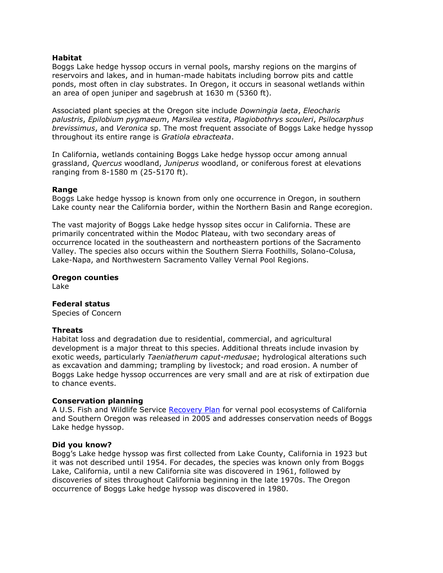## **Habitat**

Boggs Lake hedge hyssop occurs in vernal pools, marshy regions on the margins of reservoirs and lakes, and in human-made habitats including borrow pits and cattle ponds, most often in clay substrates. In Oregon, it occurs in seasonal wetlands within an area of open juniper and sagebrush at 1630 m (5360 ft).

Associated plant species at the Oregon site include *Downingia laeta*, *Eleocharis palustris*, *Epilobium pygmaeum*, *Marsilea vestita*, *Plagiobothrys scouleri*, *Psilocarphus brevissimus*, and *Veronica* sp. The most frequent associate of Boggs Lake hedge hyssop throughout its entire range is *Gratiola ebracteata*.

In California, wetlands containing Boggs Lake hedge hyssop occur among annual grassland, *Quercus* woodland, *Juniperus* woodland, or coniferous forest at elevations ranging from 8-1580 m (25-5170 ft).

#### **Range**

Boggs Lake hedge hyssop is known from only one occurrence in Oregon, in southern Lake county near the California border, within the Northern Basin and Range ecoregion.

The vast majority of Boggs Lake hedge hyssop sites occur in California. These are primarily concentrated within the Modoc Plateau, with two secondary areas of occurrence located in the southeastern and northeastern portions of the Sacramento Valley. The species also occurs within the Southern Sierra Foothills, Solano-Colusa, Lake-Napa, and Northwestern Sacramento Valley Vernal Pool Regions.

## **Oregon counties**

Lake

#### **Federal status**

Species of Concern

#### **Threats**

Habitat loss and degradation due to residential, commercial, and agricultural development is a major threat to this species. Additional threats include invasion by exotic weeds, particularly *Taeniatherum caput-medusae*; hydrological alterations such as excavation and damming; trampling by livestock; and road erosion. A number of Boggs Lake hedge hyssop occurrences are very small and are at risk of extirpation due to chance events.

#### **Conservation planning**

A U.S. Fish and Wildlife Service [Recovery Plan](http://www.fws.gov/sacramento/ES/Recovery-Planning/Vernal-Pool/es_recovery_vernal-pool-recovery.htm) for vernal pool ecosystems of California and Southern Oregon was released in 2005 and addresses conservation needs of Boggs Lake hedge hyssop.

#### **Did you know?**

Bogg's Lake hedge hyssop was first collected from Lake County, California in 1923 but it was not described until 1954. For decades, the species was known only from Boggs Lake, California, until a new California site was discovered in 1961, followed by discoveries of sites throughout California beginning in the late 1970s. The Oregon occurrence of Boggs Lake hedge hyssop was discovered in 1980.